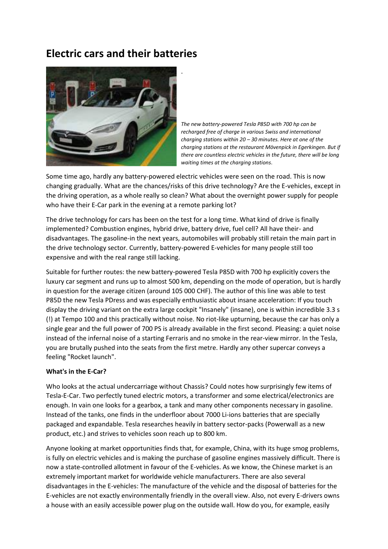## **Electric cars and their batteries**



*The new battery-powered Tesla P85D with 700 hp can be recharged free of charge in various Swiss and international charging stations within 20 – 30 minutes. Here at one of the charging stations at the restaurant Mövenpick in Egerkingen. But if there are countless electric vehicles in the future, there will be long waiting times at the charging stations*.

Some time ago, hardly any battery-powered electric vehicles were seen on the road. This is now changing gradually. What are the chances/risks of this drive technology? Are the E-vehicles, except in the driving operation, as a whole really so clean? What about the overnight power supply for people who have their E-Car park in the evening at a remote parking lot?

The drive technology for cars has been on the test for a long time. What kind of drive is finally implemented? Combustion engines, hybrid drive, battery drive, fuel cell? All have their- and disadvantages. The gasoline-in the next years, automobiles will probably still retain the main part in the drive technology sector. Currently, battery-powered E-vehicles for many people still too expensive and with the real range still lacking.

Suitable for further routes: the new battery-powered Tesla P85D with 700 hp explicitly covers the luxury car segment and runs up to almost 500 km, depending on the mode of operation, but is hardly in question for the average citizen (around 105 000 CHF). The author of this line was able to test P85D the new Tesla PDress and was especially enthusiastic about insane acceleration: If you touch display the driving variant on the extra large cockpit "Insanely" (insane), one is within incredible 3.3 s (!) at Tempo 100 and this practically without noise. No riot-like upturning, because the car has only a single gear and the full power of 700 PS is already available in the first second. Pleasing: a quiet noise instead of the infernal noise of a starting Ferraris and no smoke in the rear-view mirror. In the Tesla, you are brutally pushed into the seats from the first metre. Hardly any other supercar conveys a feeling "Rocket launch".

## **What's in the E-Car?**

Who looks at the actual undercarriage without Chassis? Could notes how surprisingly few items of Tesla-E-Car. Two perfectly tuned electric motors, a transformer and some electrical/electronics are enough. In vain one looks for a gearbox, a tank and many other components necessary in gasoline. Instead of the tanks, one finds in the underfloor about 7000 Li-ions batteries that are specially packaged and expandable. Tesla researches heavily in battery sector-packs (Powerwall as a new product, etc.) and strives to vehicles soon reach up to 800 km.

Anyone looking at market opportunities finds that, for example, China, with its huge smog problems, is fully on electric vehicles and is making the purchase of gasoline engines massively difficult. There is now a state-controlled allotment in favour of the E-vehicles. As we know, the Chinese market is an extremely important market for worldwide vehicle manufacturers. There are also several disadvantages in the E-vehicles: The manufacture of the vehicle and the disposal of batteries for the E-vehicles are not exactly environmentally friendly in the overall view. Also, not every E-drivers owns a house with an easily accessible power plug on the outside wall. How do you, for example, easily